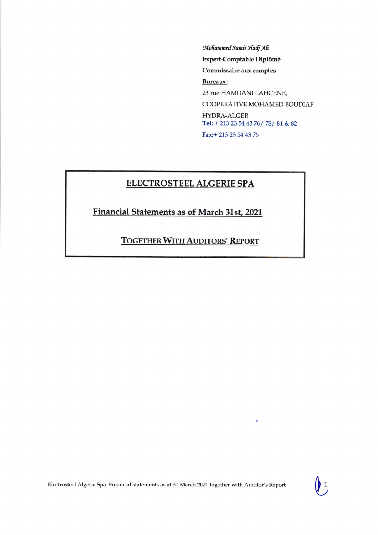Mohammed Samir Hadj Ali Expert-Comptable Diplômé Commissaire aux comptes **Bureaux:** 23 rue HAMDANI LAHCENE, COOPERATIVE MOHAMED BOUDIAF HYDRA-ALGER Tel: + 213 23 54 43 76/78/81 & 82 Fax:+ 213 23 54 43 75

## **ELECTROSTEEL ALGERIE SPA**

Financial Statements as of March 31st, 2021

**TOGETHER WITH AUDITORS' REPORT**